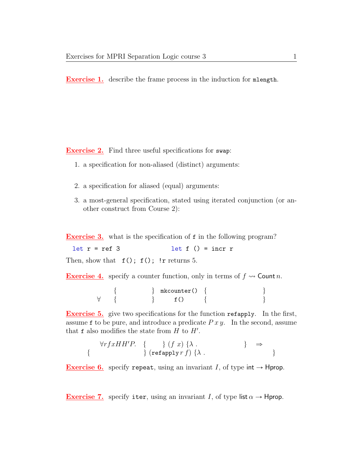Exercise 1. describe the frame process in the induction for mlength.

Exercise 2. Find three useful specifications for swap:

- 1. a specification for non-aliased (distinct) arguments:
- 2. a specification for aliased (equal) arguments:
- 3. a most-general specification, stated using iterated conjunction (or another construct from Course 2):

**Exercise 3.** what is the specification of **f** in the following program?

 $let r = ref 3$   $let f() = incr r$ Then, show that  $f()$ ;  $f()$ ; !r returns 5.

**Exercise 4.** specify a counter function, only in terms of  $f \rightsquigarrow$  Count n.

 $\left\{ \begin{array}{c} \text{mkcounter()} \\ \end{array} \right. \left\{ \begin{array}{c} \text{mkcounter()} \\ \end{array} \right.$  $\forall \quad \{ \qquad \qquad \} \qquad \qquad \text{f()} \qquad \{ \qquad \qquad \}$ 

Exercise 5. give two specifications for the function refapply. In the first, assume f to be pure, and introduce a predicate  $Pxy$ . In the second, assume that  $f$  also modifies the state from  $H$  to  $H'$ .

$$
\begin{array}{ll}\n\forall rfxHH'P. & \{\quad \} (f\ x) \ \{\lambda . & \quad \} \quad \Rightarrow \\
\{\n\quad \qquad \} (\text{refapply } r\ f) \ \{\lambda . & \quad \}\n\end{array}
$$

**Exercise 6.** specify repeat, using an invariant I, of type int  $\rightarrow$  Hprop.

**Exercise 7.** specify iter, using an invariant I, of type list  $\alpha \rightarrow$  Hprop.